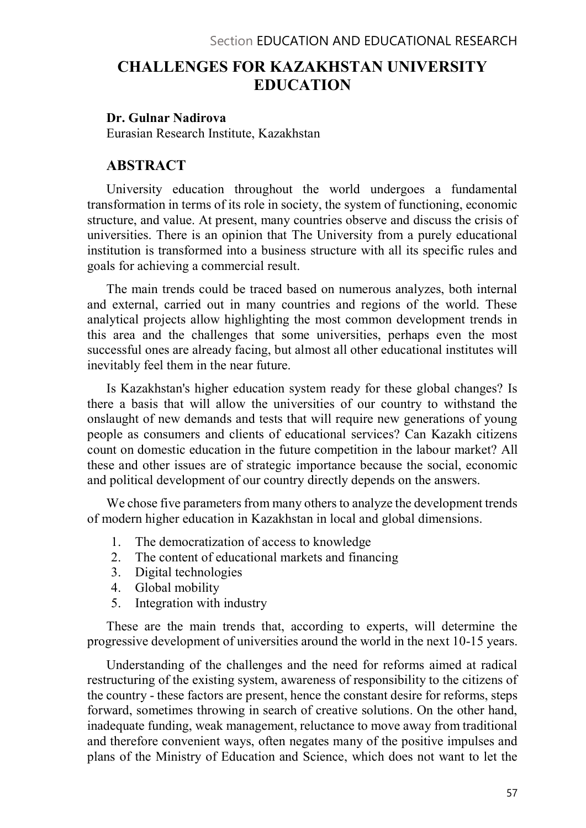# CHALLENGES FOR KAZAKHSTAN UNIVERSITY EDUCATION

#### Dr. Gulnar Nadirova

Eurasian Research Institute, Kazakhstan

### ABSTRACT

University education throughout the world undergoes a fundamental transformation in terms of its role in society, the system of functioning, economic structure, and value. At present, many countries observe and discuss the crisis of universities. There is an opinion that The University from a purely educational institution is transformed into a business structure with all its specific rules and goals for achieving a commercial result.

The main trends could be traced based on numerous analyzes, both internal and external, carried out in many countries and regions of the world. These analytical projects allow highlighting the most common development trends in this area and the challenges that some universities, perhaps even the most successful ones are already facing, but almost all other educational institutes will inevitably feel them in the near future.

Is Kazakhstan's higher education system ready for these global changes? Is there a basis that will allow the universities of our country to withstand the onslaught of new demands and tests that will require new generations of young people as consumers and clients of educational services? Can Kazakh citizens count on domestic education in the future competition in the labour market? All these and other issues are of strategic importance because the social, economic and political development of our country directly depends on the answers.

We chose five parameters from many others to analyze the development trends of modern higher education in Kazakhstan in local and global dimensions.

- 1. The democratization of access to knowledge
- 2. The content of educational markets and financing
- 3. Digital technologies
- 4. Global mobility
- 5. Integration with industry

These are the main trends that, according to experts, will determine the progressive development of universities around the world in the next 10-15 years.

Understanding of the challenges and the need for reforms aimed at radical restructuring of the existing system, awareness of responsibility to the citizens of the country - these factors are present, hence the constant desire for reforms, steps forward, sometimes throwing in search of creative solutions. On the other hand, inadequate funding, weak management, reluctance to move away from traditional and therefore convenient ways, often negates many of the positive impulses and plans of the Ministry of Education and Science, which does not want to let the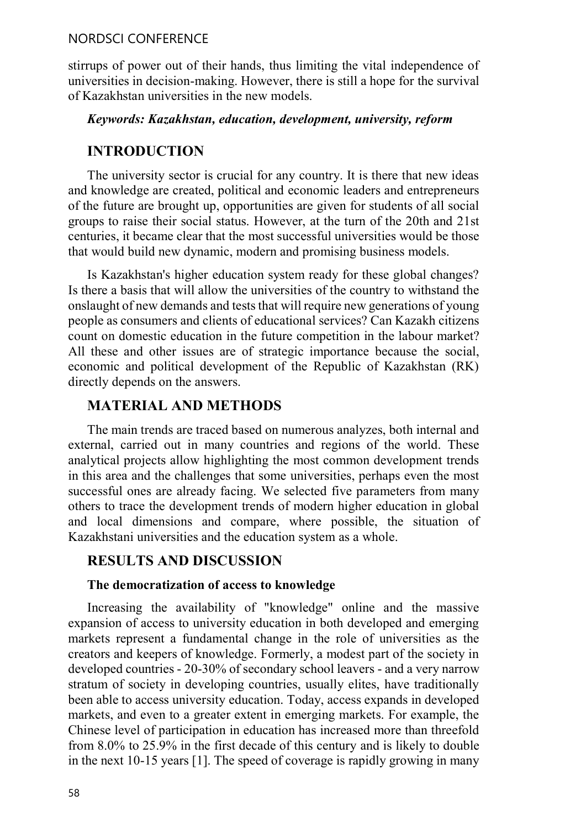### NORDSCI CONFERENCE

stirrups of power out of their hands, thus limiting the vital independence of universities in decision-making. However, there is still a hope for the survival of Kazakhstan universities in the new models.

### Keywords: Kazakhstan, education, development, university, reform

# INTRODUCTION

The university sector is crucial for any country. It is there that new ideas and knowledge are created, political and economic leaders and entrepreneurs of the future are brought up, opportunities are given for students of all social groups to raise their social status. However, at the turn of the 20th and 21st centuries, it became clear that the most successful universities would be those that would build new dynamic, modern and promising business models.

Is Kazakhstan's higher education system ready for these global changes? Is there a basis that will allow the universities of the country to withstand the onslaught of new demands and tests that will require new generations of young people as consumers and clients of educational services? Can Kazakh citizens count on domestic education in the future competition in the labour market? All these and other issues are of strategic importance because the social, economic and political development of the Republic of Kazakhstan (RK) directly depends on the answers.

# MATERIAL AND METHODS

The main trends are traced based on numerous analyzes, both internal and external, carried out in many countries and regions of the world. These analytical projects allow highlighting the most common development trends in this area and the challenges that some universities, perhaps even the most successful ones are already facing. We selected five parameters from many others to trace the development trends of modern higher education in global and local dimensions and compare, where possible, the situation of Kazakhstani universities and the education system as a whole.

# RESULTS AND DISCUSSION

### The democratization of access to knowledge

Increasing the availability of "knowledge" online and the massive expansion of access to university education in both developed and emerging markets represent a fundamental change in the role of universities as the creators and keepers of knowledge. Formerly, a modest part of the society in developed countries - 20-30% of secondary school leavers - and a very narrow stratum of society in developing countries, usually elites, have traditionally been able to access university education. Today, access expands in developed markets, and even to a greater extent in emerging markets. For example, the Chinese level of participation in education has increased more than threefold from 8.0% to 25.9% in the first decade of this century and is likely to double in the next 10-15 years [1]. The speed of coverage is rapidly growing in many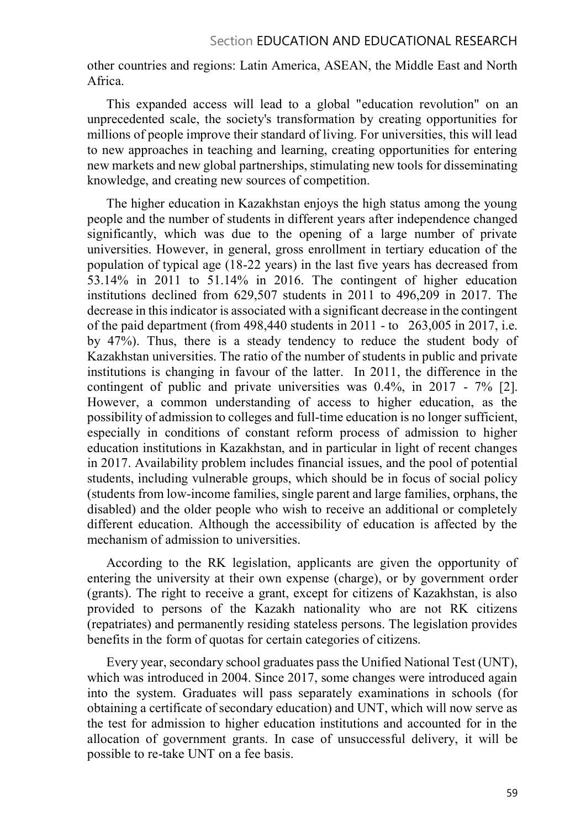### Section EDUCATION AND EDUCATIONAL RESEARCH

other countries and regions: Latin America, ASEAN, the Middle East and North Africa.

This expanded access will lead to a global "education revolution" on an unprecedented scale, the society's transformation by creating opportunities for millions of people improve their standard of living. For universities, this will lead to new approaches in teaching and learning, creating opportunities for entering new markets and new global partnerships, stimulating new tools for disseminating knowledge, and creating new sources of competition.

The higher education in Kazakhstan enjoys the high status among the young people and the number of students in different years after independence changed significantly, which was due to the opening of a large number of private universities. However, in general, gross enrollment in tertiary education of the population of typical age (18-22 years) in the last five years has decreased from 53.14% in 2011 to 51.14% in 2016. The contingent of higher education institutions declined from 629,507 students in 2011 to 496,209 in 2017. The decrease in this indicator is associated with a significant decrease in the contingent of the paid department (from 498,440 students in 2011 - to 263,005 in 2017, i.e. by 47%). Thus, there is a steady tendency to reduce the student body of Kazakhstan universities. The ratio of the number of students in public and private institutions is changing in favour of the latter. In 2011, the difference in the contingent of public and private universities was 0.4%, in 2017 - 7% [2]. However, a common understanding of access to higher education, as the possibility of admission to colleges and full-time education is no longer sufficient, especially in conditions of constant reform process of admission to higher education institutions in Kazakhstan, and in particular in light of recent changes in 2017. Availability problem includes financial issues, and the pool of potential students, including vulnerable groups, which should be in focus of social policy (students from low-income families, single parent and large families, orphans, the disabled) and the older people who wish to receive an additional or completely different education. Although the accessibility of education is affected by the mechanism of admission to universities.

According to the RK legislation, applicants are given the opportunity of entering the university at their own expense (charge), or by government order (grants). The right to receive a grant, except for citizens of Kazakhstan, is also provided to persons of the Kazakh nationality who are not RK citizens (repatriates) and permanently residing stateless persons. The legislation provides benefits in the form of quotas for certain categories of citizens.

Every year, secondary school graduates pass the Unified National Test (UNT), which was introduced in 2004. Since 2017, some changes were introduced again into the system. Graduates will pass separately examinations in schools (for obtaining a certificate of secondary education) and UNT, which will now serve as the test for admission to higher education institutions and accounted for in the allocation of government grants. In case of unsuccessful delivery, it will be possible to re-take UNT on a fee basis.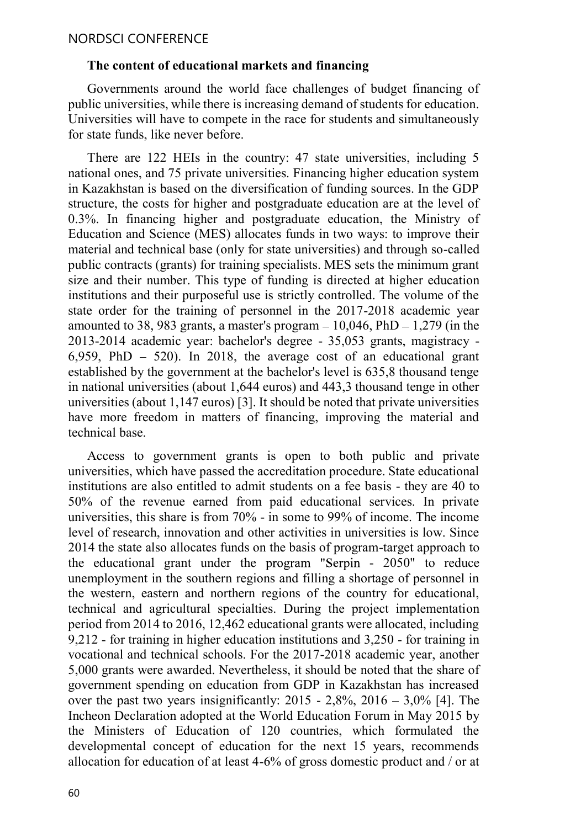#### The content of educational markets and financing

Governments around the world face challenges of budget financing of public universities, while there is increasing demand of students for education. Universities will have to compete in the race for students and simultaneously for state funds, like never before.

There are 122 HEIs in the country: 47 state universities, including 5 national ones, and 75 private universities. Financing higher education system in Kazakhstan is based on the diversification of funding sources. In the GDP structure, the costs for higher and postgraduate education are at the level of 0.3%. In financing higher and postgraduate education, the Ministry of Education and Science (MES) allocates funds in two ways: to improve their material and technical base (only for state universities) and through so-called public contracts (grants) for training specialists. MES sets the minimum grant size and their number. This type of funding is directed at higher education institutions and their purposeful use is strictly controlled. The volume of the state order for the training of personnel in the 2017-2018 academic year amounted to 38, 983 grants, a master's program  $-10,046$ , PhD  $-1,279$  (in the 2013-2014 academic year: bachelor's degree - 35,053 grants, magistracy - 6,959, PhD  $-$  520). In 2018, the average cost of an educational grant established by the government at the bachelor's level is 635,8 thousand tenge in national universities (about 1,644 euros) and 443,3 thousand tenge in other universities (about 1,147 euros) [3]. It should be noted that private universities have more freedom in matters of financing, improving the material and technical base.

Access to government grants is open to both public and private universities, which have passed the accreditation procedure. State educational institutions are also entitled to admit students on a fee basis - they are 40 to 50% of the revenue earned from paid educational services. In private universities, this share is from 70% - in some to 99% of income. The income level of research, innovation and other activities in universities is low. Since 2014 the state also allocates funds on the basis of program-target approach to the educational grant under the program "Serpin - 2050" to reduce unemployment in the southern regions and filling a shortage of personnel in the western, eastern and northern regions of the country for educational, technical and agricultural specialties. During the project implementation period from 2014 to 2016, 12,462 educational grants were allocated, including 9,212 - for training in higher education institutions and 3,250 - for training in vocational and technical schools. For the 2017-2018 academic year, another 5,000 grants were awarded. Nevertheless, it should be noted that the share of government spending on education from GDP in Kazakhstan has increased over the past two years insignificantly:  $2015 - 2,8\%$ ,  $2016 - 3,0\%$  [4]. The Incheon Declaration adopted at the World Education Forum in May 2015 by the Ministers of Education of 120 countries, which formulated the developmental concept of education for the next 15 years, recommends allocation for education of at least 4-6% of gross domestic product and / or at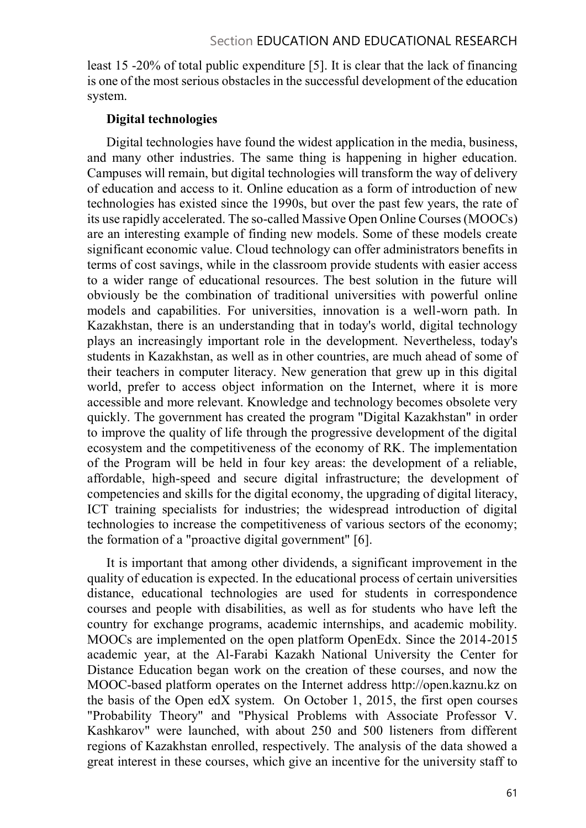least 15 -20% of total public expenditure [5]. It is clear that the lack of financing is one of the most serious obstacles in the successful development of the education system.

# Digital technologies

Digital technologies have found the widest application in the media, business, and many other industries. The same thing is happening in higher education. Campuses will remain, but digital technologies will transform the way of delivery of education and access to it. Online education as a form of introduction of new technologies has existed since the 1990s, but over the past few years, the rate of its use rapidly accelerated. The so-called Massive Open Online Courses (MOOCs) are an interesting example of finding new models. Some of these models create significant economic value. Cloud technology can offer administrators benefits in terms of cost savings, while in the classroom provide students with easier access to a wider range of educational resources. The best solution in the future will obviously be the combination of traditional universities with powerful online models and capabilities. For universities, innovation is a well-worn path. In Kazakhstan, there is an understanding that in today's world, digital technology plays an increasingly important role in the development. Nevertheless, today's students in Kazakhstan, as well as in other countries, are much ahead of some of their teachers in computer literacy. New generation that grew up in this digital world, prefer to access object information on the Internet, where it is more accessible and more relevant. Knowledge and technology becomes obsolete very quickly. The government has created the program "Digital Kazakhstan" in order to improve the quality of life through the progressive development of the digital ecosystem and the competitiveness of the economy of RK. The implementation of the Program will be held in four key areas: the development of a reliable, affordable, high-speed and secure digital infrastructure; the development of competencies and skills for the digital economy, the upgrading of digital literacy, ICT training specialists for industries; the widespread introduction of digital technologies to increase the competitiveness of various sectors of the economy; the formation of a "proactive digital government" [6].

It is important that among other dividends, a significant improvement in the quality of education is expected. In the educational process of certain universities distance, educational technologies are used for students in correspondence courses and people with disabilities, as well as for students who have left the country for exchange programs, academic internships, and academic mobility. MOOCs are implemented on the open platform OpenEdx. Since the 2014-2015 academic year, at the Al-Farabi Kazakh National University the Center for Distance Education began work on the creation of these courses, and now the MOOC-based platform operates on the Internet address http://open.kaznu.kz on the basis of the Open edX system. On October 1, 2015, the first open courses "Probability Theory" and "Physical Problems with Associate Professor V. Kashkarov" were launched, with about 250 and 500 listeners from different regions of Kazakhstan enrolled, respectively. The analysis of the data showed a great interest in these courses, which give an incentive for the university staff to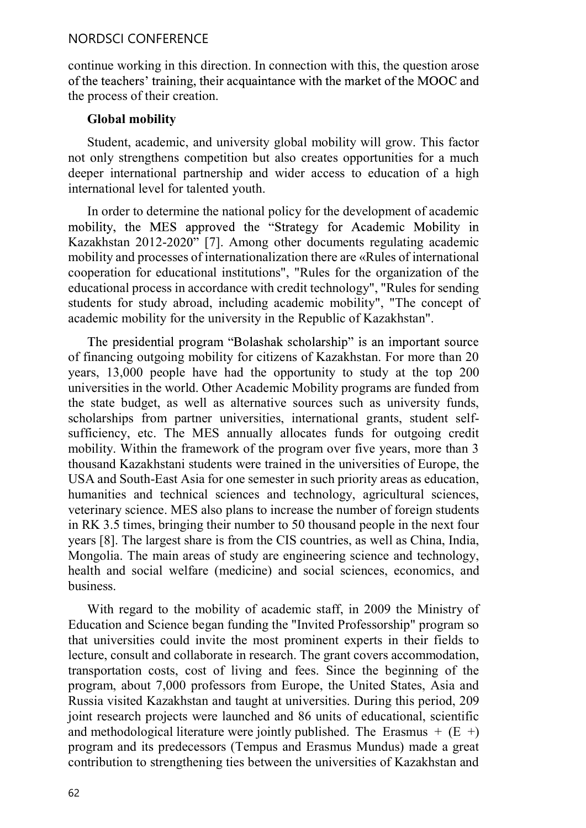### NORDSCI CONFERENCE

continue working in this direction. In connection with this, the question arose of the teachers' training, their acquaintance with the market of the MOOC and the process of their creation.

#### Global mobility

Student, academic, and university global mobility will grow. This factor not only strengthens competition but also creates opportunities for a much deeper international partnership and wider access to education of a high international level for talented youth.

In order to determine the national policy for the development of academic mobility, the MES approved the "Strategy for Academic Mobility in Kazakhstan 2012-2020" [7]. Among other documents regulating academic mobility and processes of internationalization there are «Rules of international cooperation for educational institutions", "Rules for the organization of the educational process in accordance with credit technology", "Rules for sending students for study abroad, including academic mobility", "The concept of academic mobility for the university in the Republic of Kazakhstan".

The presidential program "Bolashak scholarship" is an important source of financing outgoing mobility for citizens of Kazakhstan. For more than 20 years, 13,000 people have had the opportunity to study at the top 200 universities in the world. Other Academic Mobility programs are funded from the state budget, as well as alternative sources such as university funds, scholarships from partner universities, international grants, student selfsufficiency, etc. The MES annually allocates funds for outgoing credit mobility. Within the framework of the program over five years, more than 3 thousand Kazakhstani students were trained in the universities of Europe, the USA and South-East Asia for one semester in such priority areas as education, humanities and technical sciences and technology, agricultural sciences, veterinary science. MES also plans to increase the number of foreign students in RK 3.5 times, bringing their number to 50 thousand people in the next four years [8]. The largest share is from the CIS countries, as well as China, India, Mongolia. The main areas of study are engineering science and technology, health and social welfare (medicine) and social sciences, economics, and business.

With regard to the mobility of academic staff, in 2009 the Ministry of Education and Science began funding the "Invited Professorship" program so that universities could invite the most prominent experts in their fields to lecture, consult and collaborate in research. The grant covers accommodation, transportation costs, cost of living and fees. Since the beginning of the program, about 7,000 professors from Europe, the United States, Asia and Russia visited Kazakhstan and taught at universities. During this period, 209 joint research projects were launched and 86 units of educational, scientific and methodological literature were jointly published. The Erasmus  $+$  (E  $+$ ) program and its predecessors (Tempus and Erasmus Mundus) made a great contribution to strengthening ties between the universities of Kazakhstan and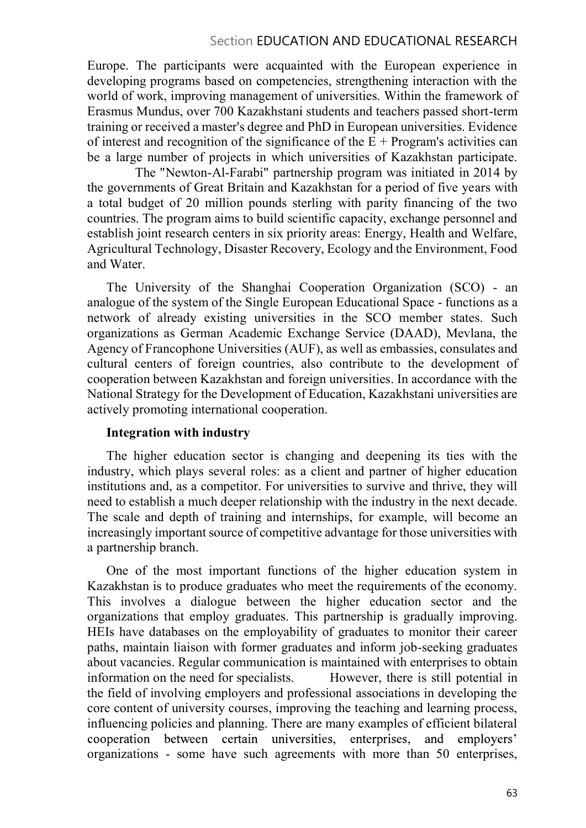### Section EDUCATION AND EDUCATIONAL RESEARCH

Europe. The participants were acquainted with the European experience in developing programs based on competencies, strengthening interaction with the world of work, improving management of universities. Within the framework of Erasmus Mundus, over 700 Kazakhstani students and teachers passed short-term training or received a master's degree and PhD in European universities. Evidence of interest and recognition of the significance of the  $E + Program's$  activities can be a large number of projects in which universities of Kazakhstan participate.

 The "Newton-Al-Farabi" partnership program was initiated in 2014 by the governments of Great Britain and Kazakhstan for a period of five years with a total budget of 20 million pounds sterling with parity financing of the two countries. The program aims to build scientific capacity, exchange personnel and establish joint research centers in six priority areas: Energy, Health and Welfare, Agricultural Technology, Disaster Recovery, Ecology and the Environment, Food and Water.

The University of the Shanghai Cooperation Organization (SCO) - an analogue of the system of the Single European Educational Space - functions as a network of already existing universities in the SCO member states. Such organizations as German Academic Exchange Service (DAAD), Mevlana, the Agency of Francophone Universities (AUF), as well as embassies, consulates and cultural centers of foreign countries, also contribute to the development of cooperation between Kazakhstan and foreign universities. In accordance with the National Strategy for the Development of Education, Kazakhstani universities are actively promoting international cooperation.

### Integration with industry

The higher education sector is changing and deepening its ties with the industry, which plays several roles: as a client and partner of higher education institutions and, as a competitor. For universities to survive and thrive, they will need to establish a much deeper relationship with the industry in the next decade. The scale and depth of training and internships, for example, will become an increasingly important source of competitive advantage for those universities with a partnership branch.

One of the most important functions of the higher education system in Kazakhstan is to produce graduates who meet the requirements of the economy. This involves a dialogue between the higher education sector and the organizations that employ graduates. This partnership is gradually improving. HEIs have databases on the employability of graduates to monitor their career paths, maintain liaison with former graduates and inform job-seeking graduates about vacancies. Regular communication is maintained with enterprises to obtain information on the need for specialists. However, there is still potential in the field of involving employers and professional associations in developing the core content of university courses, improving the teaching and learning process, influencing policies and planning. There are many examples of efficient bilateral cooperation between certain universities, enterprises, and employers' organizations - some have such agreements with more than 50 enterprises,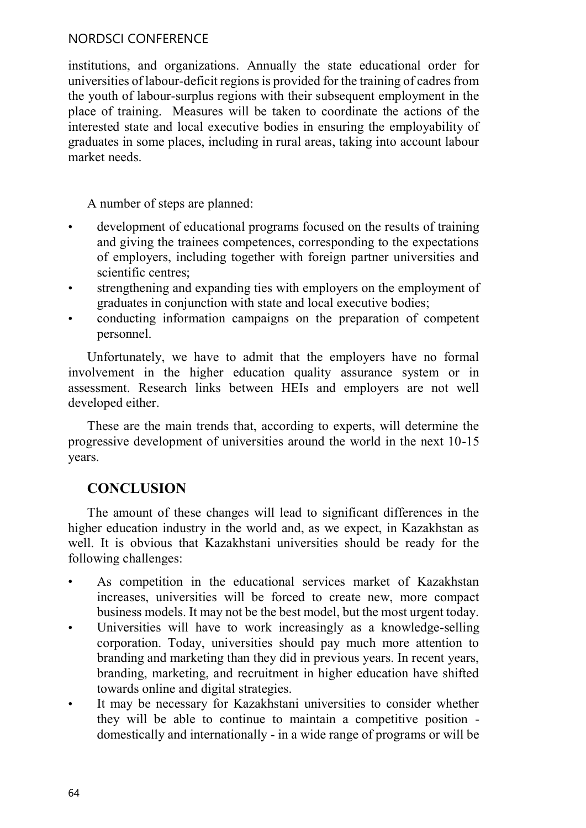### NORDSCI CONFERENCE

institutions, and organizations. Annually the state educational order for universities of labour-deficit regions is provided for the training of cadres from the youth of labour-surplus regions with their subsequent employment in the place of training. Measures will be taken to coordinate the actions of the interested state and local executive bodies in ensuring the employability of graduates in some places, including in rural areas, taking into account labour market needs.

A number of steps are planned:

- development of educational programs focused on the results of training and giving the trainees competences, corresponding to the expectations of employers, including together with foreign partner universities and scientific centres:
- strengthening and expanding ties with employers on the employment of  $\bullet$ graduates in conjunction with state and local executive bodies;
- conducting information campaigns on the preparation of competent personnel.

Unfortunately, we have to admit that the employers have no formal involvement in the higher education quality assurance system or in assessment. Research links between HEIs and employers are not well developed either.

These are the main trends that, according to experts, will determine the progressive development of universities around the world in the next 10-15 years.

# **CONCLUSION**

The amount of these changes will lead to significant differences in the higher education industry in the world and, as we expect, in Kazakhstan as well. It is obvious that Kazakhstani universities should be ready for the following challenges:

- As competition in the educational services market of Kazakhstan increases, universities will be forced to create new, more compact business models. It may not be the best model, but the most urgent today.
- Universities will have to work increasingly as a knowledge-selling  $\bullet$ corporation. Today, universities should pay much more attention to branding and marketing than they did in previous years. In recent years, branding, marketing, and recruitment in higher education have shifted towards online and digital strategies.
- It may be necessary for Kazakhstani universities to consider whether  $\bullet$ they will be able to continue to maintain a competitive position domestically and internationally - in a wide range of programs or will be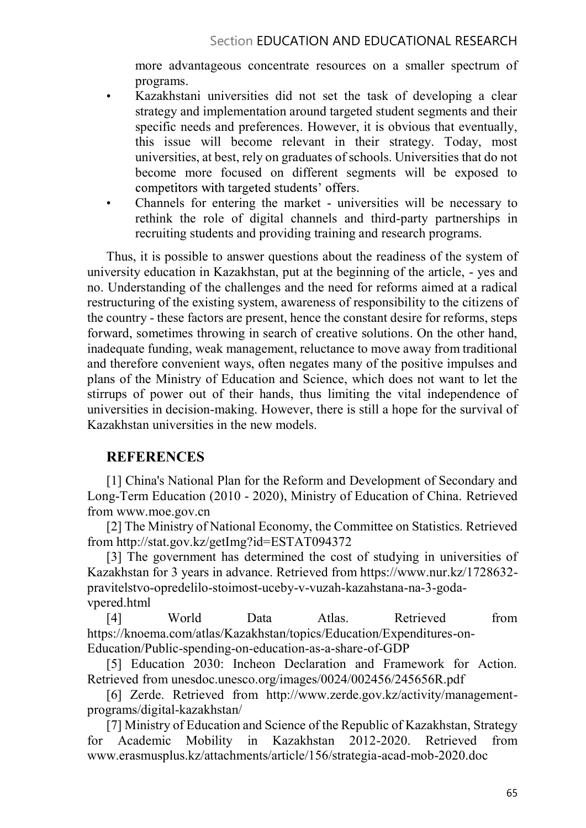more advantageous concentrate resources on a smaller spectrum of programs.

- Kazakhstani universities did not set the task of developing a clear  $\bullet$ strategy and implementation around targeted student segments and their specific needs and preferences. However, it is obvious that eventually, this issue will become relevant in their strategy. Today, most universities, at best, rely on graduates of schools. Universities that do not become more focused on different segments will be exposed to competitors with targeted students' offers.
- Channels for entering the market universities will be necessary to rethink the role of digital channels and third-party partnerships in recruiting students and providing training and research programs.

Thus, it is possible to answer questions about the readiness of the system of university education in Kazakhstan, put at the beginning of the article, - yes and no. Understanding of the challenges and the need for reforms aimed at a radical restructuring of the existing system, awareness of responsibility to the citizens of the country - these factors are present, hence the constant desire for reforms, steps forward, sometimes throwing in search of creative solutions. On the other hand, inadequate funding, weak management, reluctance to move away from traditional and therefore convenient ways, often negates many of the positive impulses and plans of the Ministry of Education and Science, which does not want to let the stirrups of power out of their hands, thus limiting the vital independence of universities in decision-making. However, there is still a hope for the survival of Kazakhstan universities in the new models.

# **REFERENCES**

[1] China's National Plan for the Reform and Development of Secondary and Long-Term Education (2010 - 2020), Ministry of Education of China. Retrieved from www.moe.gov.cn

[2] The Ministry of National Economy, the Committee on Statistics. Retrieved from http://stat.gov.kz/getImg?id=ESTAT094372

[3] The government has determined the cost of studying in universities of Kazakhstan for 3 years in advance. Retrieved from https://www.nur.kz/1728632 pravitelstvo-opredelilo-stoimost-uceby-v-vuzah-kazahstana-na-3-godavpered.html

[4] World Data Atlas. Retrieved from https://knoema.com/atlas/Kazakhstan/topics/Education/Expenditures-on-Education/Public-spending-on-education-as-a-share-of-GDP

[5] Education 2030: Incheon Declaration and Framework for Action. Retrieved from unesdoc.unesco.org/images/0024/002456/245656R.pdf

[6] Zerde. Retrieved from http://www.zerde.gov.kz/activity/managementprograms/digital-kazakhstan/

[7] Ministry of Education and Science of the Republic of Kazakhstan, Strategy for Academic Mobility in Kazakhstan 2012-2020. Retrieved from www.erasmusplus.kz/attachments/article/156/strategia-acad-mob-2020.doc